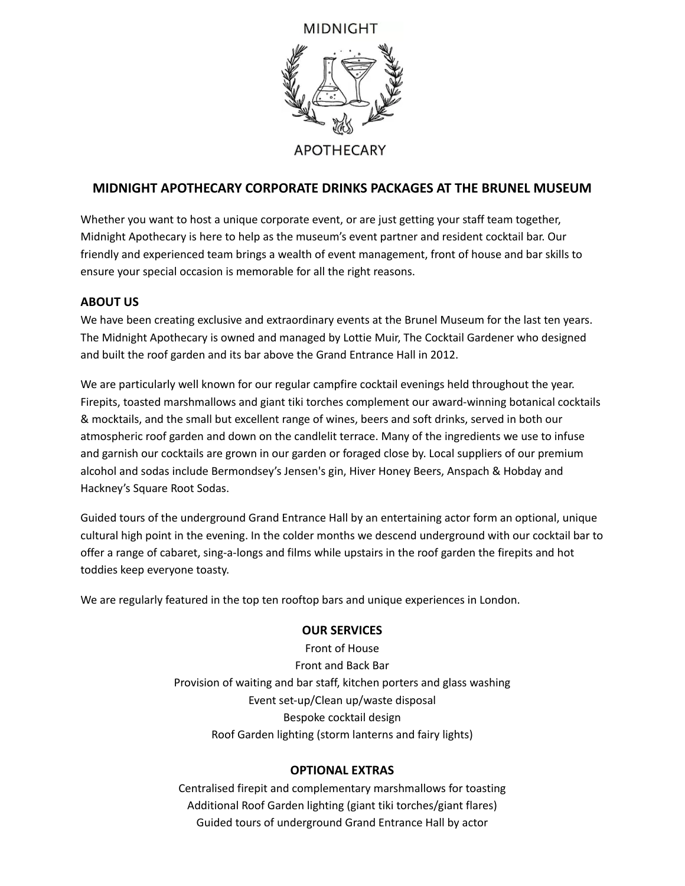# MIDNIGHT



# **MIDNIGHT APOTHECARY CORPORATE DRINKS PACKAGES AT THE BRUNEL MUSEUM**

Whether you want to host a unique corporate event, or are just getting your staff team together, Midnight Apothecary is here to help as the museum's event partner and resident cocktail bar. Our friendly and experienced team brings a wealth of event management, front of house and bar skills to ensure your special occasion is memorable for all the right reasons.

#### **ABOUT US**

We have been creating exclusive and extraordinary events at the Brunel Museum for the last ten years. The Midnight Apothecary is owned and managed by Lottie Muir, The Cocktail Gardener who designed and built the roof garden and its bar above the Grand Entrance Hall in 2012.

We are particularly well known for our regular campfire cocktail evenings held throughout the year. Firepits, toasted marshmallows and giant tiki torches complement our award-winning botanical cocktails & mocktails, and the small but excellent range of wines, beers and soft drinks, served in both our atmospheric roof garden and down on the candlelit terrace. Many of the ingredients we use to infuse and garnish our cocktails are grown in our garden or foraged close by. Local suppliers of our premium alcohol and sodas include Bermondsey's Jensen's gin, Hiver Honey Beers, Anspach & Hobday and Hackney's Square Root Sodas.

Guided tours of the underground Grand Entrance Hall by an entertaining actor form an optional, unique cultural high point in the evening. In the colder months we descend underground with our cocktail bar to offer a range of cabaret, sing-a-longs and films while upstairs in the roof garden the firepits and hot toddies keep everyone toasty.

We are regularly featured in the top ten rooftop bars and unique experiences in London.

### **OUR SERVICES**

Front of House Front and Back Bar Provision of waiting and bar staff, kitchen porters and glass washing Event set-up/Clean up/waste disposal Bespoke cocktail design Roof Garden lighting (storm lanterns and fairy lights)

#### **OPTIONAL EXTRAS**

Centralised firepit and complementary marshmallows for toasting Additional Roof Garden lighting (giant tiki torches/giant flares) Guided tours of underground Grand Entrance Hall by actor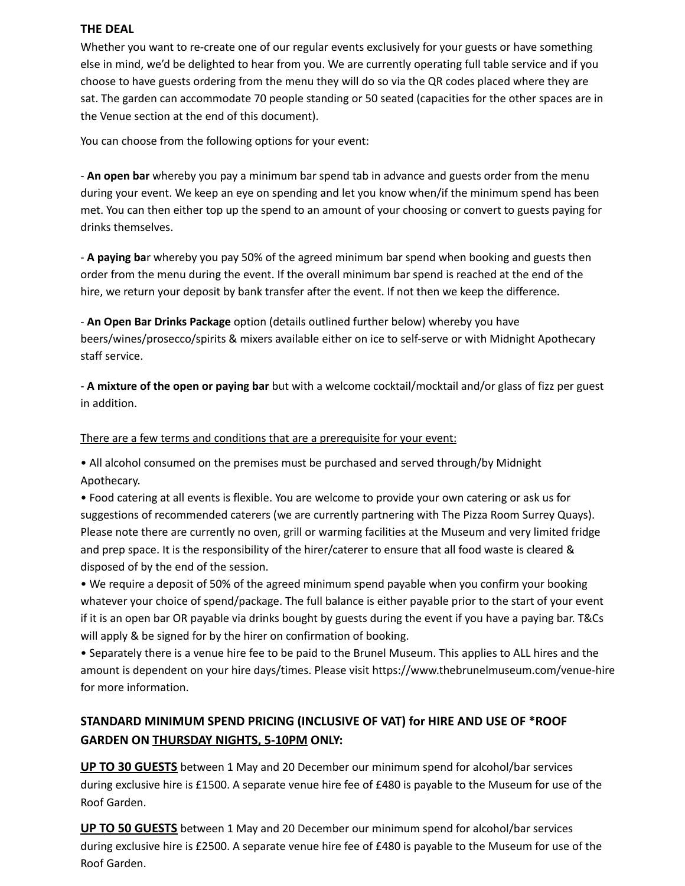#### **THE DEAL**

Whether you want to re-create one of our regular events exclusively for your guests or have something else in mind, we'd be delighted to hear from you. We are currently operating full table service and if you choose to have guests ordering from the menu they will do so via the QR codes placed where they are sat. The garden can accommodate 70 people standing or 50 seated (capacities for the other spaces are in the Venue section at the end of this document).

You can choose from the following options for your event:

- **An open bar** whereby you pay a minimum bar spend tab in advance and guests order from the menu during your event. We keep an eye on spending and let you know when/if the minimum spend has been met. You can then either top up the spend to an amount of your choosing or convert to guests paying for drinks themselves.

- **A paying ba**r whereby you pay 50% of the agreed minimum bar spend when booking and guests then order from the menu during the event. If the overall minimum bar spend is reached at the end of the hire, we return your deposit by bank transfer after the event. If not then we keep the difference.

- **An Open Bar Drinks Package** option (details outlined further below) whereby you have beers/wines/prosecco/spirits & mixers available either on ice to self-serve or with Midnight Apothecary staff service.

- **A mixture of the open or paying bar** but with a welcome cocktail/mocktail and/or glass of fizz per guest in addition.

There are a few terms and conditions that are a prerequisite for your event:

• All alcohol consumed on the premises must be purchased and served through/by Midnight Apothecary.

• Food catering at all events is flexible. You are welcome to provide your own catering or ask us for suggestions of recommended caterers (we are currently partnering with The Pizza Room Surrey Quays). Please note there are currently no oven, grill or warming facilities at the Museum and very limited fridge and prep space. It is the responsibility of the hirer/caterer to ensure that all food waste is cleared & disposed of by the end of the session.

• We require a deposit of 50% of the agreed minimum spend payable when you confirm your booking whatever your choice of spend/package. The full balance is either payable prior to the start of your event if it is an open bar OR payable via drinks bought by guests during the event if you have a paying bar. T&Cs will apply & be signed for by the hirer on confirmation of booking.

• Separately there is a venue hire fee to be paid to the Brunel Museum. This applies to ALL hires and the amount is dependent on your hire days/times. Please visit https://www.thebrunelmuseum.com/venue-hire for more information.

# **STANDARD MINIMUM SPEND PRICING (INCLUSIVE OF VAT) for HIRE AND USE OF \*ROOF GARDEN ON THURSDAY NIGHTS, 5-10PM ONLY:**

**UP TO 30 GUESTS** between 1 May and 20 December our minimum spend for alcohol/bar services during exclusive hire is £1500. A separate venue hire fee of £480 is payable to the Museum for use of the Roof Garden.

**UP TO 50 GUESTS** between 1 May and 20 December our minimum spend for alcohol/bar services during exclusive hire is £2500. A separate venue hire fee of £480 is payable to the Museum for use of the Roof Garden.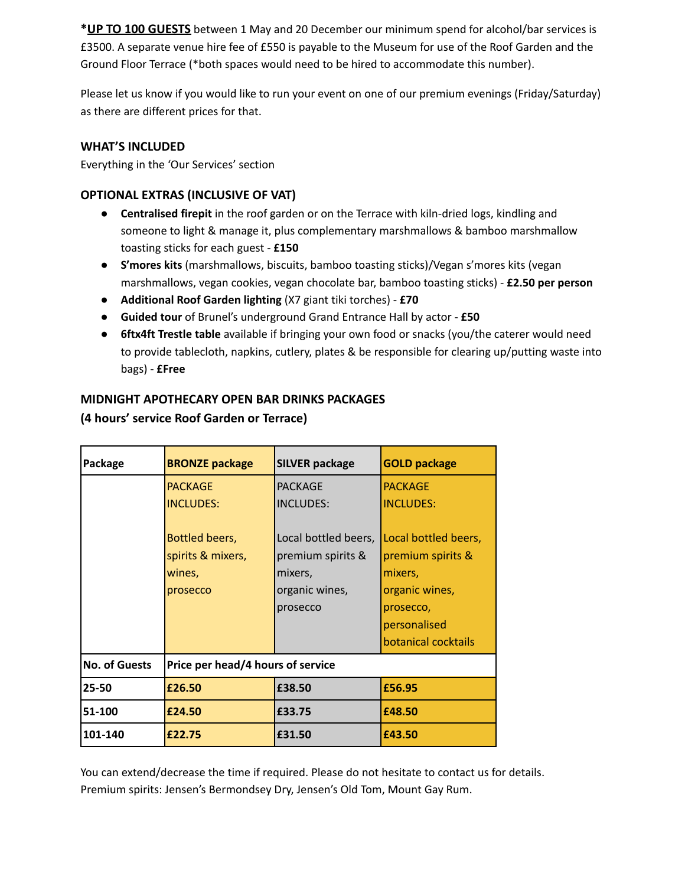**\*UP TO 100 GUESTS** between 1 May and 20 December our minimum spend for alcohol/bar services is £3500. A separate venue hire fee of £550 is payable to the Museum for use of the Roof Garden and the Ground Floor Terrace (\*both spaces would need to be hired to accommodate this number).

Please let us know if you would like to run your event on one of our premium evenings (Friday/Saturday) as there are different prices for that.

## **WHAT'S INCLUDED**

Everything in the 'Our Services' section

### **OPTIONAL EXTRAS (INCLUSIVE OF VAT)**

- **Centralised firepit** in the roof garden or on the Terrace with kiln-dried logs, kindling and someone to light & manage it, plus complementary marshmallows & bamboo marshmallow toasting sticks for each guest - **£150**
- **● S'mores kits** (marshmallows, biscuits, bamboo toasting sticks)/Vegan s'mores kits (vegan marshmallows, vegan cookies, vegan chocolate bar, bamboo toasting sticks) - **£2.50 per person**
- **● Additional Roof Garden lighting** (X7 giant tiki torches) **£70**
- **● Guided tour** of Brunel's underground Grand Entrance Hall by actor **£50**
- **● 6ftx4ft Trestle table** available if bringing your own food or snacks (you/the caterer would need to provide tablecloth, napkins, cutlery, plates & be responsible for clearing up/putting waste into bags) - **£Free**

## **MIDNIGHT APOTHECARY OPEN BAR DRINKS PACKAGES**

| Package              | <b>BRONZE package</b>             | <b>SILVER package</b> | <b>GOLD package</b>  |
|----------------------|-----------------------------------|-----------------------|----------------------|
|                      | <b>PACKAGE</b>                    | <b>PACKAGE</b>        | <b>PACKAGE</b>       |
|                      | <b>INCLUDES:</b>                  | <b>INCLUDES:</b>      | <b>INCLUDES:</b>     |
|                      |                                   |                       |                      |
|                      | Bottled beers,                    | Local bottled beers,  | Local bottled beers, |
|                      | spirits & mixers,                 | premium spirits &     | premium spirits &    |
|                      | wines,                            | mixers,               | mixers,              |
|                      | prosecco                          | organic wines,        | organic wines,       |
|                      |                                   | prosecco              | prosecco,            |
|                      |                                   |                       | personalised         |
|                      |                                   |                       | botanical cocktails  |
| <b>No. of Guests</b> | Price per head/4 hours of service |                       |                      |
| 25-50                | £26.50                            | £38.50                | £56.95               |
| 51-100               | £24.50                            | £33.75                | £48.50               |
| 101-140              | £22.75                            | £31.50                | £43.50               |

# **(4 hours' service Roof Garden or Terrace)**

You can extend/decrease the time if required. Please do not hesitate to contact us for details. Premium spirits: Jensen's Bermondsey Dry, Jensen's Old Tom, Mount Gay Rum.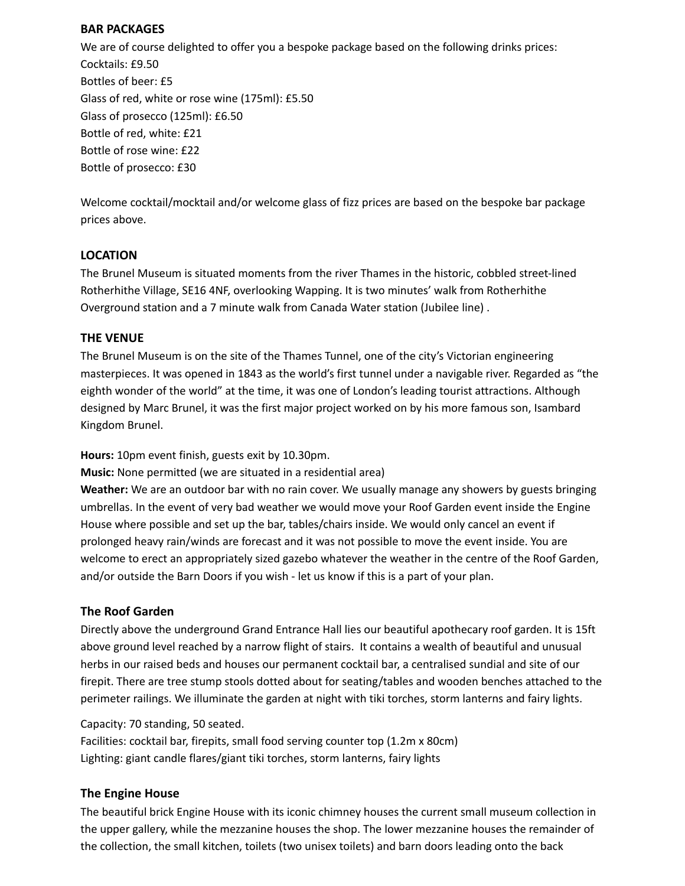#### **BAR PACKAGES**

We are of course delighted to offer you a bespoke package based on the following drinks prices: Cocktails: £9.50 Bottles of beer: £5 Glass of red, white or rose wine (175ml): £5.50 Glass of prosecco (125ml): £6.50 Bottle of red, white: £21 Bottle of rose wine: £22 Bottle of prosecco: £30

Welcome cocktail/mocktail and/or welcome glass of fizz prices are based on the bespoke bar package prices above.

### **LOCATION**

The Brunel Museum is situated moments from the river Thames in the historic, cobbled street-lined Rotherhithe Village, SE16 4NF, overlooking Wapping. It is two minutes' walk from Rotherhithe Overground station and a 7 minute walk from Canada Water station (Jubilee line) .

### **THE VENUE**

The Brunel Museum is on the site of the Thames Tunnel, one of the city's Victorian engineering masterpieces. It was opened in 1843 as the world's first tunnel under a navigable river. Regarded as "the eighth wonder of the world" at the time, it was one of London's leading tourist attractions. Although designed by Marc Brunel, it was the first major project worked on by his more famous son, Isambard Kingdom Brunel.

**Hours:** 10pm event finish, guests exit by 10.30pm.

**Music:** None permitted (we are situated in a residential area)

**Weather:** We are an outdoor bar with no rain cover. We usually manage any showers by guests bringing umbrellas. In the event of very bad weather we would move your Roof Garden event inside the Engine House where possible and set up the bar, tables/chairs inside. We would only cancel an event if prolonged heavy rain/winds are forecast and it was not possible to move the event inside. You are welcome to erect an appropriately sized gazebo whatever the weather in the centre of the Roof Garden, and/or outside the Barn Doors if you wish - let us know if this is a part of your plan.

### **The Roof Garden**

Directly above the underground Grand Entrance Hall lies our beautiful apothecary roof garden. It is 15ft above ground level reached by a narrow flight of stairs. It contains a wealth of beautiful and unusual herbs in our raised beds and houses our permanent cocktail bar, a centralised sundial and site of our firepit. There are tree stump stools dotted about for seating/tables and wooden benches attached to the perimeter railings. We illuminate the garden at night with tiki torches, storm lanterns and fairy lights.

Capacity: 70 standing, 50 seated.

Facilities: cocktail bar, firepits, small food serving counter top (1.2m x 80cm) Lighting: giant candle flares/giant tiki torches, storm lanterns, fairy lights

### **The Engine House**

The beautiful brick Engine House with its iconic chimney houses the current small museum collection in the upper gallery, while the mezzanine houses the shop. The lower mezzanine houses the remainder of the collection, the small kitchen, toilets (two unisex toilets) and barn doors leading onto the back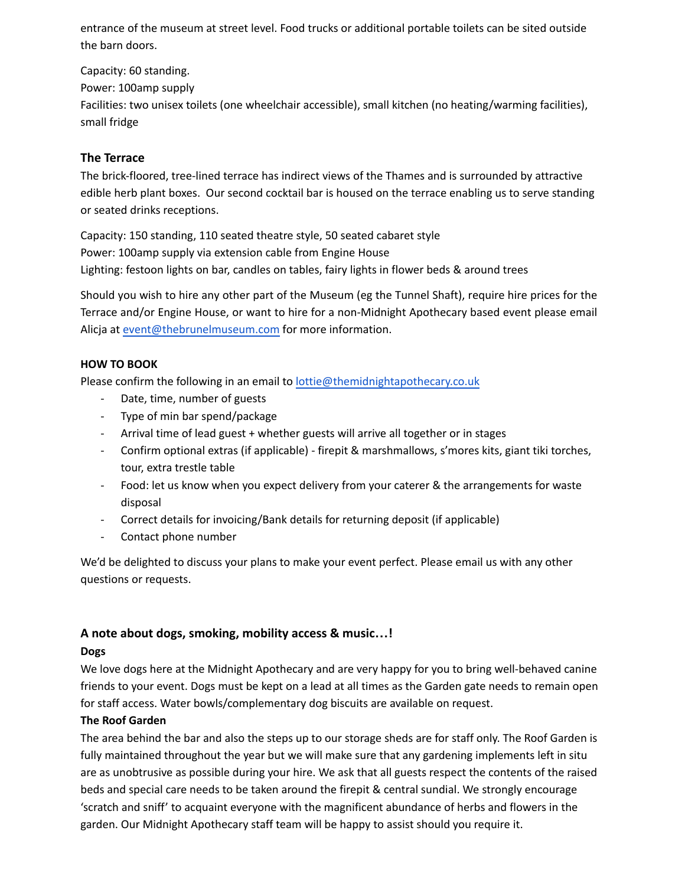entrance of the museum at street level. Food trucks or additional portable toilets can be sited outside the barn doors.

Capacity: 60 standing. Power: 100amp supply Facilities: two unisex toilets (one wheelchair accessible), small kitchen (no heating/warming facilities), small fridge

## **The Terrace**

The brick-floored, tree-lined terrace has indirect views of the Thames and is surrounded by attractive edible herb plant boxes. Our second cocktail bar is housed on the terrace enabling us to serve standing or seated drinks receptions.

Capacity: 150 standing, 110 seated theatre style, 50 seated cabaret style Power: 100amp supply via extension cable from Engine House Lighting: festoon lights on bar, candles on tables, fairy lights in flower beds & around trees

Should you wish to hire any other part of the Museum (eg the Tunnel Shaft), require hire prices for the Terrace and/or Engine House, or want to hire for a non-Midnight Apothecary based event please email Alicja at [event@thebrunelmuseum.com](mailto:event@thebrunelmuseum.com) for more information.

#### **HOW TO BOOK**

Please confirm the following in an email to [lottie@themidnightapothecary.co.uk](mailto:lottie@themidnightapothecary.co.uk)

- Date, time, number of guests
- Type of min bar spend/package
- Arrival time of lead guest + whether guests will arrive all together or in stages
- Confirm optional extras (if applicable) firepit & marshmallows, s'mores kits, giant tiki torches, tour, extra trestle table
- Food: let us know when you expect delivery from your caterer & the arrangements for waste disposal
- Correct details for invoicing/Bank details for returning deposit (if applicable)
- Contact phone number

We'd be delighted to discuss your plans to make your event perfect. Please email us with any other questions or requests.

# **A note about dogs, smoking, mobility access & music…!**

### **Dogs**

We love dogs here at the Midnight Apothecary and are very happy for you to bring well-behaved canine friends to your event. Dogs must be kept on a lead at all times as the Garden gate needs to remain open for staff access. Water bowls/complementary dog biscuits are available on request.

### **The Roof Garden**

The area behind the bar and also the steps up to our storage sheds are for staff only. The Roof Garden is fully maintained throughout the year but we will make sure that any gardening implements left in situ are as unobtrusive as possible during your hire. We ask that all guests respect the contents of the raised beds and special care needs to be taken around the firepit & central sundial. We strongly encourage 'scratch and sniff' to acquaint everyone with the magnificent abundance of herbs and flowers in the garden. Our Midnight Apothecary staff team will be happy to assist should you require it.